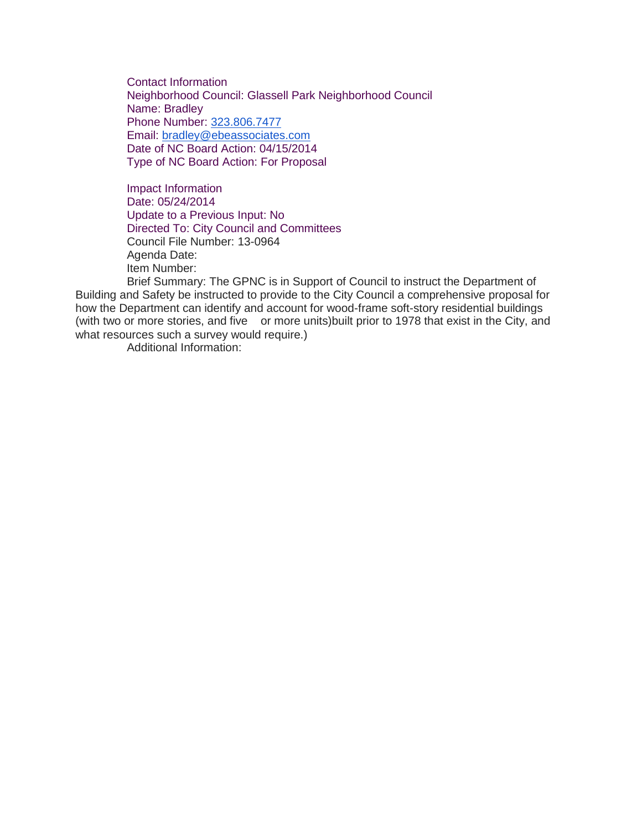Contact Information Neighborhood Council: Glassell Park Neighborhood Council Name: Bradley Phone Number: [323.806.7477](tel:323.806.7477) Email: [bradley@ebeassociates.com](mailto:bradley@ebeassociates.com) Date of NC Board Action: 04/15/2014 Type of NC Board Action: For Proposal

Impact Information Date: 05/24/2014 Update to a Previous Input: No Directed To: City Council and Committees Council File Number: 13-0964 Agenda Date: Item Number:

Brief Summary: The GPNC is in Support of Council to instruct the Department of Building and Safety be instructed to provide to the City Council a comprehensive proposal for how the Department can identify and account for wood-frame soft-story residential buildings (with two or more stories, and five or more units)built prior to 1978 that exist in the City, and what resources such a survey would require.)

Additional Information: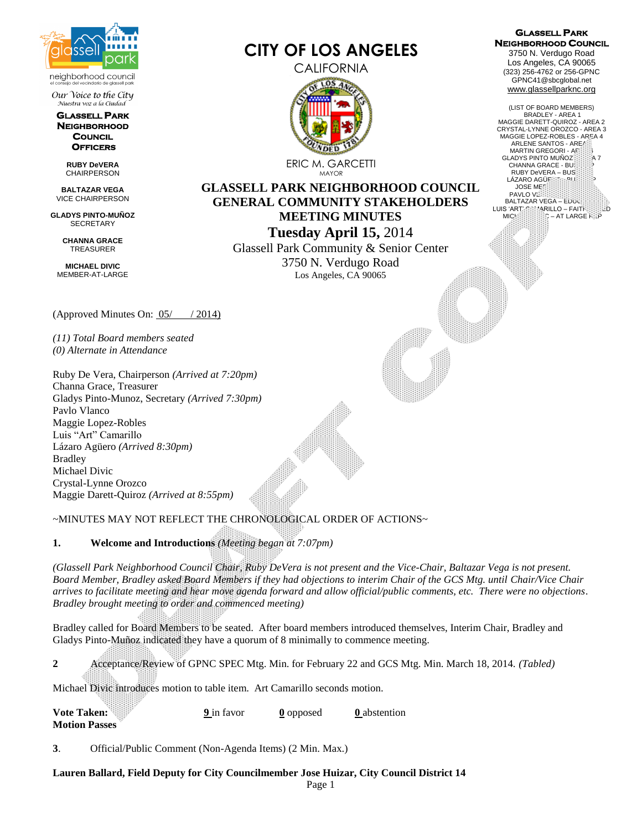

Our Voice to the City Nuestra voz a la Ciudad

**GLASSELL PARK NEIGHBORHOOD COUNCIL OFFICERS** 

> **RUBY DeVERA** CHAIRPERSON

**BALTAZAR VEGA** VICE CHAIRPERSON

**GLADYS PINTO-MUÑOZ SECRETARY** 

> **CHANNA GRACE** TREASURER

**MICHAEL DIVIC** MEMBER-AT-LARGE

**Motion Passes**

**ANNOUNCE** 

(Approved Minutes On: 05/ / 2014)

*(11) Total Board members seated (0) Alternate in Attendance*

Ruby De Vera, Chairperson *(Arrived at 7:20pm)* Channa Grace, Treasurer Gladys Pinto-Munoz, Secretary *(Arrived 7:30pm)* Pavlo Vlanco Maggie Lopez-Robles Luis "Art" Camarillo Lázaro Agüero *(Arrived 8:30pm)* Bradley Michael Divic Crystal-Lynne Orozco Maggie Darett-Quiroz *(Arrived at 8:55pm)*

# ~MINUTES MAY NOT REFLECT THE CHRONOLOGICAL ORDER OF ACTIONS~

**1. Welcome and Introductions** *(Meeting began at 7:07pm)*

*(Glassell Park Neighborhood Council Chair, Ruby DeVera is not present and the Vice-Chair, Baltazar Vega is not present. Board Member, Bradley asked Board Members if they had objections to interim Chair of the GCS Mtg. until Chair/Vice Chair arrives to facilitate meeting and hear move agenda forward and allow official/public comments, etc. There were no objections. Bradley brought meeting to order and commenced meeting)*

Bradley called for Board Members to be seated. After board members introduced themselves, Interim Chair, Bradley and Gladys Pinto-Muñoz indicated they have a quorum of 8 minimally to commence meeting.

|                | Vote Taken:                                                                  | 9 in favor | 0 opposed | <b>Q</b> abstention |                                                                                                     |
|----------------|------------------------------------------------------------------------------|------------|-----------|---------------------|-----------------------------------------------------------------------------------------------------|
|                | Michael Divic introduces motion to table item. Art Camarillo seconds motion. |            |           |                     |                                                                                                     |
| $\mathbf{2}^-$ |                                                                              |            |           |                     | Acceptance/Review of GPNC SPEC Mtg. Min. for February 22 and GCS Mtg. Min. March 18, 2014. (Tabled) |

**3**. Official/Public Comment (Non-Agenda Items) (2 Min. Max.)

**Lauren Ballard, Field Deputy for City Councilmember Jose Huizar, City Council District 14**



**CITY OF LOS ANGELES**

ERIC M. GARCETTI MAYOR

**GLASSELL PARK NEIGHBORHOOD COUNCIL GENERAL COMMUNITY STAKEHOLDERS MEETING MINUTES Tuesday April 15,** 2014 Glassell Park Community & Senior Center

3750 N. Verdugo Road Los Angeles, CA 90065

**GLASSELL PARK NEIGHBORHOOD COUNCIL**  3750 N. Verdugo Road Los Angeles, CA 90065 (323) 256-4762 or 256-GPNC GPNC41@sbcglobal.net [www.glassellparknc.org](http://www.glassellparknc.org/) 

(LIST OF BOARD MEMBERS) BRADLEY - AREA 1 MAGGIE DARETT-QUIROZ - AREA 2 CRYSTAL-LYNNE OROZCO - AREA 3 MAGGIE LOPEZ-ROBLES - AREA 4 ARLENE SANTOS - AREA MARTIN GREGORI - AFCIDIA<br>LADYS PINTO MUÑOZERE A 7 GLADYS PINTO MUÑOZ CHANNA GRACE - BUS  $RUBY$  DeVERA – BUS. LÁZARO AGÜF **JOSE ME** PAVLO VL BALTAZAR VEGA – EDUC.<br>LUIS 'ART' CAMARILLO – FAITHERIC D  $MICH<sub>2</sub> = AT LARGE R<sub>2</sub>P$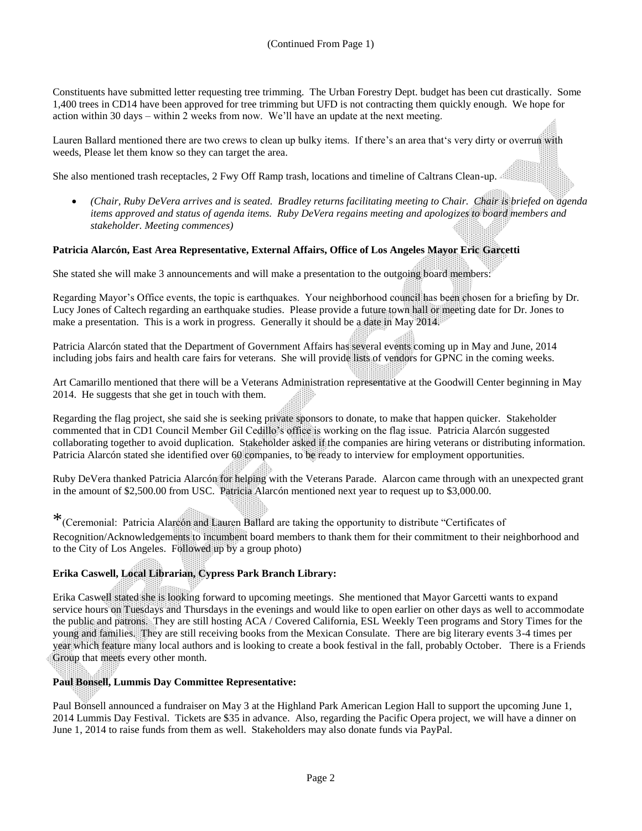Constituents have submitted letter requesting tree trimming. The Urban Forestry Dept. budget has been cut drastically. Some 1,400 trees in CD14 have been approved for tree trimming but UFD is not contracting them quickly enough. We hope for action within 30 days – within 2 weeks from now. We'll have an update at the next meeting.

Lauren Ballard mentioned there are two crews to clean up bulky items. If there's an area that's very dirty or overrun with weeds, Please let them know so they can target the area.

She also mentioned trash receptacles, 2 Fwy Off Ramp trash, locations and timeline of Caltrans Clean-up.

 *(Chair, Ruby DeVera arrives and is seated. Bradley returns facilitating meeting to Chair. Chair is briefed on agenda items approved and status of agenda items. Ruby DeVera regains meeting and apologizes to board members and stakeholder. Meeting commences)*

### **Patricia Alarcón, East Area Representative, External Affairs, Office of Los Angeles Mayor Eric Garcetti**

She stated she will make 3 announcements and will make a presentation to the outgoing board members:

Regarding Mayor's Office events, the topic is earthquakes. Your neighborhood council has been chosen for a briefing by Dr. Lucy Jones of Caltech regarding an earthquake studies. Please provide a future town hall or meeting date for Dr. Jones to make a presentation. This is a work in progress. Generally it should be a date in May 2014.

Patricia Alarcón stated that the Department of Government Affairs has several events coming up in May and June, 2014 including jobs fairs and health care fairs for veterans. She will provide lists of vendors for GPNC in the coming weeks.

Art Camarillo mentioned that there will be a Veterans Administration representative at the Goodwill Center beginning in May 2014. He suggests that she get in touch with them.

Regarding the flag project, she said she is seeking private sponsors to donate, to make that happen quicker. Stakeholder commented that in CD1 Council Member Gil Cedillo's office is working on the flag issue. Patricia Alarcón suggested collaborating together to avoid duplication. Stakeholder asked if the companies are hiring veterans or distributing information. Patricia Alarcón stated she identified over 60 companies, to be ready to interview for employment opportunities.

Ruby DeVera thanked Patricia Alarcón for helping with the Veterans Parade. Alarcon came through with an unexpected grant in the amount of \$2,500.00 from USC. Patricia Alarcón mentioned next year to request up to \$3,000.00.

\*(Ceremonial: Patricia Alarcón and Lauren Ballard are taking the opportunity to distribute "Certificates of Recognition/Acknowledgements to incumbent board members to thank them for their commitment to their neighborhood and to the City of Los Angeles. Followed up by a group photo)

### **Erika Caswell, Local Librarian, Cypress Park Branch Library:**

Erika Caswell stated she is looking forward to upcoming meetings. She mentioned that Mayor Garcetti wants to expand service hours on Tuesdays and Thursdays in the evenings and would like to open earlier on other days as well to accommodate the public and patrons. They are still hosting ACA / Covered California, ESL Weekly Teen programs and Story Times for the young and families. They are still receiving books from the Mexican Consulate. There are big literary events 3-4 times per year which feature many local authors and is looking to create a book festival in the fall, probably October. There is a Friends Group that meets every other month.

## **Paul Bonsell, Lummis Day Committee Representative:**

Paul Bonsell announced a fundraiser on May 3 at the Highland Park American Legion Hall to support the upcoming June 1, 2014 Lummis Day Festival. Tickets are \$35 in advance. Also, regarding the Pacific Opera project, we will have a dinner on June 1, 2014 to raise funds from them as well. Stakeholders may also donate funds via PayPal.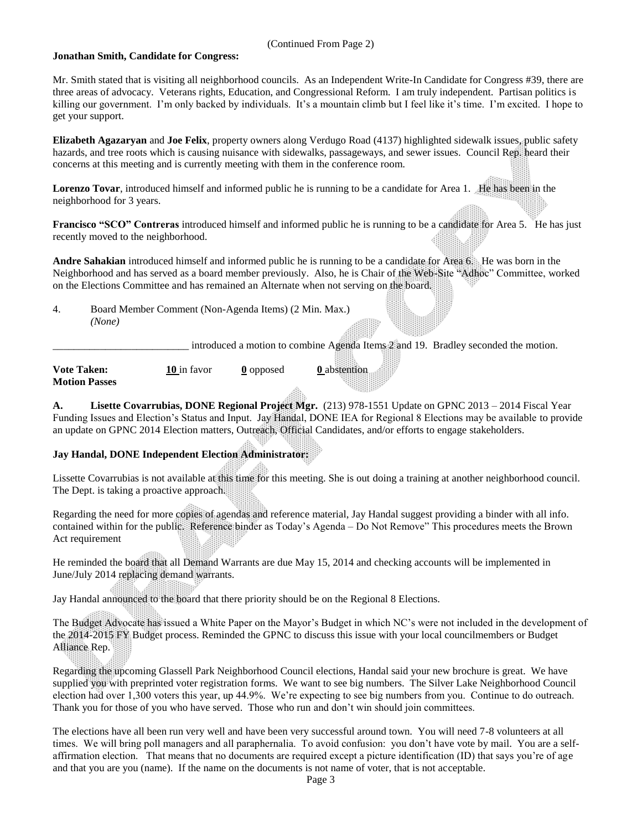#### (Continued From Page 2)

#### **Jonathan Smith, Candidate for Congress:**

Mr. Smith stated that is visiting all neighborhood councils. As an Independent Write-In Candidate for Congress #39, there are three areas of advocacy. Veterans rights, Education, and Congressional Reform. I am truly independent. Partisan politics is killing our government. I'm only backed by individuals. It's a mountain climb but I feel like it's time. I'm excited. I hope to get your support.

**Elizabeth Agazaryan** and **Joe Felix**, property owners along Verdugo Road (4137) highlighted sidewalk issues, public safety hazards, and tree roots which is causing nuisance with sidewalks, passageways, and sewer issues. Council Rep. heard their concerns at this meeting and is currently meeting with them in the conference room.

**Lorenzo Tovar**, introduced himself and informed public he is running to be a candidate for Area 1. He has been in the neighborhood for 3 years.

**Francisco** "SCO" Contreras introduced himself and informed public he is running to be a candidate for Area 5. He has just recently moved to the neighborhood.

**Andre Sahakian** introduced himself and informed public he is running to be a candidate for Area 6. He was born in the Neighborhood and has served as a board member previously. Also, he is Chair of the Web-Site "Adhoc" Committee, worked on the Elections Committee and has remained an Alternate when not serving on the board.

4. Board Member Comment (Non-Agenda Items) (2 Min. Max.) *(None)*

introduced a motion to combine Agenda Items 2 and 19. Bradley seconded the motion.

**Vote Taken: 10** in favor **0** opposed **0** abstention **Motion Passes**

**A. Lisette Covarrubias, DONE Regional Project Mgr.** (213) 978-1551 Update on GPNC 2013 – 2014 Fiscal Year Funding Issues and Election's Status and Input. Jay Handal, DONE IEA for Regional 8 Elections may be available to provide an update on GPNC 2014 Election matters, Outreach, Official Candidates, and/or efforts to engage stakeholders.

### **Jay Handal, DONE Independent Election Administrator:**

Lissette Covarrubias is not available at this time for this meeting. She is out doing a training at another neighborhood council. The Dept. is taking a proactive approach.

Regarding the need for more copies of agendas and reference material, Jay Handal suggest providing a binder with all info. contained within for the public. Reference binder as Today's Agenda – Do Not Remove" This procedures meets the Brown Act requirement

He reminded the board that all Demand Warrants are due May 15, 2014 and checking accounts will be implemented in June/July 2014 replacing demand warrants.

Jay Handal announced to the board that there priority should be on the Regional 8 Elections.

The Budget Advocate has issued a White Paper on the Mayor's Budget in which NC's were not included in the development of the 2014-2015 FY Budget process. Reminded the GPNC to discuss this issue with your local councilmembers or Budget Alliance Rep.

Regarding the upcoming Glassell Park Neighborhood Council elections, Handal said your new brochure is great. We have supplied you with preprinted voter registration forms. We want to see big numbers. The Silver Lake Neighborhood Council election had over 1,300 voters this year, up 44.9%. We're expecting to see big numbers from you. Continue to do outreach. Thank you for those of you who have served. Those who run and don't win should join committees.

The elections have all been run very well and have been very successful around town. You will need 7-8 volunteers at all times. We will bring poll managers and all paraphernalia. To avoid confusion: you don't have vote by mail. You are a selfaffirmation election. That means that no documents are required except a picture identification (ID) that says you're of age and that you are you (name). If the name on the documents is not name of voter, that is not acceptable.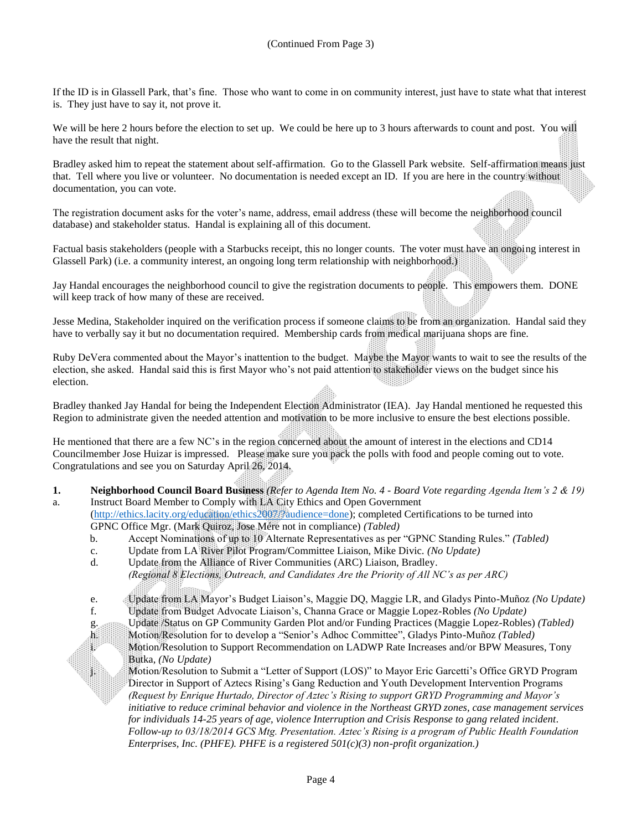If the ID is in Glassell Park, that's fine. Those who want to come in on community interest, just have to state what that interest is. They just have to say it, not prove it.

We will be here 2 hours before the election to set up. We could be here up to 3 hours afterwards to count and post. You will have the result that night.

Bradley asked him to repeat the statement about self-affirmation. Go to the Glassell Park website. Self-affirmation means just that. Tell where you live or volunteer. No documentation is needed except an ID. If you are here in the country without documentation, you can vote.

The registration document asks for the voter's name, address, email address (these will become the neighborhood council database) and stakeholder status. Handal is explaining all of this document.

Factual basis stakeholders (people with a Starbucks receipt, this no longer counts. The voter must have an ongoing interest in Glassell Park) (i.e. a community interest, an ongoing long term relationship with neighborhood.)

Jay Handal encourages the neighborhood council to give the registration documents to people. This empowers them. DONE will keep track of how many of these are received.

Jesse Medina, Stakeholder inquired on the verification process if someone claims to be from an organization. Handal said they have to verbally say it but no documentation required. Membership cards from medical marijuana shops are fine.

Ruby DeVera commented about the Mayor's inattention to the budget. Maybe the Mayor wants to wait to see the results of the election, she asked. Handal said this is first Mayor who's not paid attention to stakeholder views on the budget since his election.

Bradley thanked Jay Handal for being the Independent Election Administrator (IEA). Jay Handal mentioned he requested this Region to administrate given the needed attention and motivation to be more inclusive to ensure the best elections possible.

He mentioned that there are a few NC's in the region concerned about the amount of interest in the elections and CD14 Councilmember Jose Huizar is impressed. Please make sure you pack the polls with food and people coming out to vote. Congratulations and see you on Saturday April 26, 2014.

**1. Neighborhood Council Board Business** *(Refer to Agenda Item No. 4 - Board Vote regarding Agenda Item's 2 & 19)* a. Instruct Board Member to Comply with LA City Ethics and Open Government

[\(http://ethics.lacity.org/education/ethics2007/?audience=done\)](http://ethics.lacity.org/education/ethics2007/?audience=done); completed Certifications to be turned into GPNC Office Mgr. (Mark Quiroz, Jose Mére not in compliance) *(Tabled)*

- b. Accept Nominations of up to 10 Alternate Representatives as per "GPNC Standing Rules." *(Tabled)*
- c. Update from LA River Pilot Program/Committee Liaison, Mike Divic. *(No Update)*
- d. Update from the Alliance of River Communities (ARC) Liaison, Bradley. *(Regional 8 Elections, Outreach, and Candidates Are the Priority of All NC's as per ARC)*
- e. Update from LA Mayor's Budget Liaison's, Maggie DQ, Maggie LR, and Gladys Pinto-Muñoz *(No Update)*
- f. Update from Budget Advocate Liaison's, Channa Grace or Maggie Lopez-Robles *(No Update)*

g. Update /Status on GP Community Garden Plot and/or Funding Practices (Maggie Lopez-Robles) *(Tabled)* h. Motion/Resolution for to develop a "Senior's Adhoc Committee", Gladys Pinto-Muñoz *(Tabled)*

i. Motion/Resolution to Support Recommendation on LADWP Rate Increases and/or BPW Measures, Tony<br>Burka. (No Undate) Butka, *(No Update)*

j. Motion/Resolution to Submit a "Letter of Support (LOS)" to Mayor Eric Garcetti's Office GRYD Program Director in Support of Aztecs Rising's Gang Reduction and Youth Development Intervention Programs *(Request by Enrique Hurtado, Director of Aztec's Rising to support GRYD Programming and Mayor's initiative to reduce criminal behavior and violence in the Northeast GRYD zones, case management services for individuals 14-25 years of age, violence Interruption and Crisis Response to gang related incident. Follow-up to 03/18/2014 GCS Mtg. Presentation. Aztec's Rising is a program of Public Health Foundation Enterprises, Inc. (PHFE). PHFE is a registered 501(c)(3) non-profit organization.)*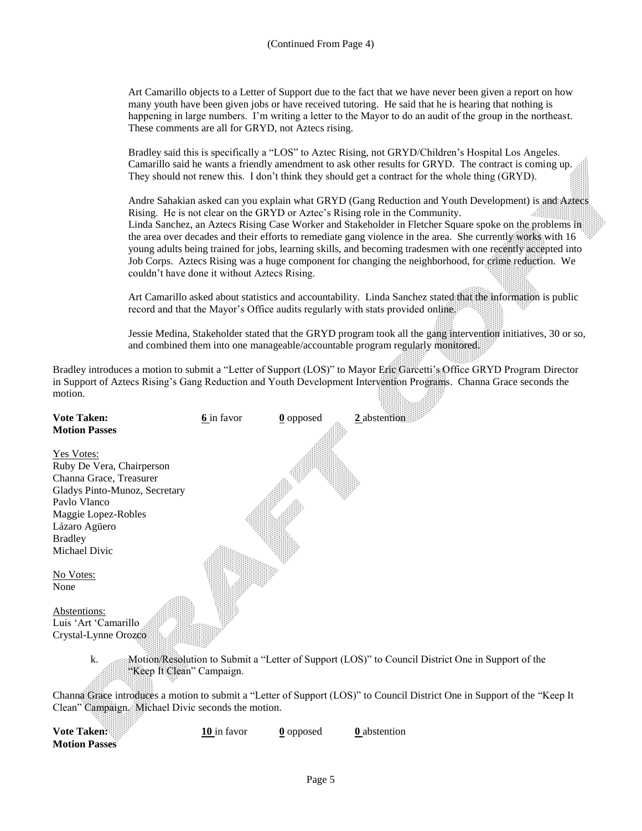Art Camarillo objects to a Letter of Support due to the fact that we have never been given a report on how many youth have been given jobs or have received tutoring. He said that he is hearing that nothing is happening in large numbers. I'm writing a letter to the Mayor to do an audit of the group in the northeast. These comments are all for GRYD, not Aztecs rising.

Bradley said this is specifically a "LOS" to Aztec Rising, not GRYD/Children's Hospital Los Angeles. Camarillo said he wants a friendly amendment to ask other results for GRYD. The contract is coming up. They should not renew this. I don't think they should get a contract for the whole thing (GRYD).

Andre Sahakian asked can you explain what GRYD (Gang Reduction and Youth Development) is and Aztecs Rising. He is not clear on the GRYD or Aztec's Rising role in the Community. Linda Sanchez, an Aztecs Rising Case Worker and Stakeholder in Fletcher Square spoke on the problems in the area over decades and their efforts to remediate gang violence in the area. She currently works with 16 young adults being trained for jobs, learning skills, and becoming tradesmen with one recently accepted into Job Corps. Aztecs Rising was a huge component for changing the neighborhood, for crime reduction. We couldn't have done it without Aztecs Rising.

Art Camarillo asked about statistics and accountability. Linda Sanchez stated that the information is public record and that the Mayor's Office audits regularly with stats provided online.

Jessie Medina, Stakeholder stated that the GRYD program took all the gang intervention initiatives, 30 or so, and combined them into one manageable/accountable program regularly monitored.

Bradley introduces a motion to submit a "Letter of Support (LOS)" to Mayor Eric Garcetti's Office GRYD Program Director in Support of Aztecs Rising's Gang Reduction and Youth Development Intervention Programs. Channa Grace seconds the motion. 

| <b>Vote Taken:</b><br><b>Motion Passes</b>         | 6 in favor  | $\underline{0}$ opposed | 2 abstention                                                                                                              |
|----------------------------------------------------|-------------|-------------------------|---------------------------------------------------------------------------------------------------------------------------|
|                                                    |             |                         |                                                                                                                           |
| <b>Yes Votes:</b>                                  |             |                         |                                                                                                                           |
| Ruby De Vera, Chairperson                          |             |                         |                                                                                                                           |
| Channa Grace, Treasurer                            |             |                         |                                                                                                                           |
| Gladys Pinto-Munoz, Secretary                      |             |                         |                                                                                                                           |
| Pavlo Vlanco                                       |             |                         |                                                                                                                           |
| Maggie Lopez-Robles                                |             |                         |                                                                                                                           |
| Lázaro Agüero                                      |             |                         |                                                                                                                           |
| <b>Bradley</b><br>Michael Divic                    |             |                         |                                                                                                                           |
|                                                    |             |                         |                                                                                                                           |
| No Votes:                                          |             |                         |                                                                                                                           |
| None                                               |             |                         |                                                                                                                           |
|                                                    |             |                         |                                                                                                                           |
| Abstentions:                                       |             |                         |                                                                                                                           |
| Luis 'Art 'Camarillo                               |             |                         |                                                                                                                           |
| Crystal-Lynne Orozco                               |             |                         |                                                                                                                           |
|                                                    |             |                         |                                                                                                                           |
| k.<br>"Keep It Clean" Campaign.                    |             |                         | Motion/Resolution to Submit a "Letter of Support (LOS)" to Council District One in Support of the                         |
|                                                    |             |                         |                                                                                                                           |
|                                                    |             |                         | Channa Grace introduces a motion to submit a "Letter of Support (LOS)" to Council District One in Support of the "Keep It |
| Clean" Campaign. Michael Divic seconds the motion. |             |                         |                                                                                                                           |
|                                                    |             |                         |                                                                                                                           |
| Vote Taken:                                        | 10 in favor | <b>0</b> opposed        | 0 abstention                                                                                                              |
| <b>Motion Passes</b>                               |             |                         |                                                                                                                           |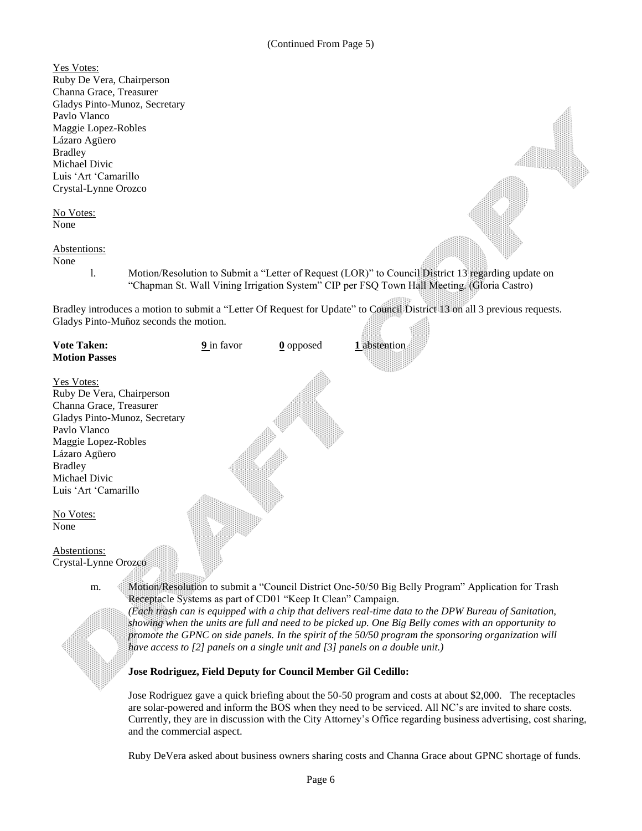Yes Votes: Ruby De Vera, Chairperson Channa Grace, Treasurer Gladys Pinto-Munoz, Secretary Pavlo Vlanco Maggie Lopez-Robles Lázaro Agüero Bradley Michael Divic Luis 'Art 'Camarillo Crystal-Lynne Orozco No Votes: None Abstentions: None l. Motion/Resolution to Submit a "Letter of Request (LOR)" to Council District 13 regarding update on "Chapman St. Wall Vining Irrigation System" CIP per FSQ Town Hall Meeting. (Gloria Castro) Bradley introduces a motion to submit a "Letter Of Request for Update" to Council District 13 on all 3 previous requests. Gladys Pinto-Muñoz seconds the motion. **Vote Taken: 9** in favor **0** opposed **1** abstention **Motion Passes** Yes Votes: Ruby De Vera, Chairperson Channa Grace, Treasurer Gladys Pinto-Munoz, Secretary Pavlo Vlanco Maggie Lopez-Robles Lázaro Agüero Bradley Michael Divic Luis 'Art 'Camarillo No Votes: None

Abstentions: Crystal-Lynne Orozco

m. Motion/Resolution to submit a "Council District One-50/50 Big Belly Program" Application for Trash Receptacle Systems as part of CD01 "Keep It Clean" Campaign.

*(Each trash can is equipped with a chip that delivers real-time data to the DPW Bureau of Sanitation, showing when the units are full and need to be picked up. One Big Belly comes with an opportunity to promote the GPNC on side panels. In the spirit of the 50/50 program the sponsoring organization will have access to [2] panels on a single unit and [3] panels on a double unit.)*

### **Jose Rodriguez, Field Deputy for Council Member Gil Cedillo:**

Jose Rodriguez gave a quick briefing about the 50-50 program and costs at about \$2,000. The receptacles are solar-powered and inform the BOS when they need to be serviced. All NC's are invited to share costs. Currently, they are in discussion with the City Attorney's Office regarding business advertising, cost sharing, and the commercial aspect.

Ruby DeVera asked about business owners sharing costs and Channa Grace about GPNC shortage of funds.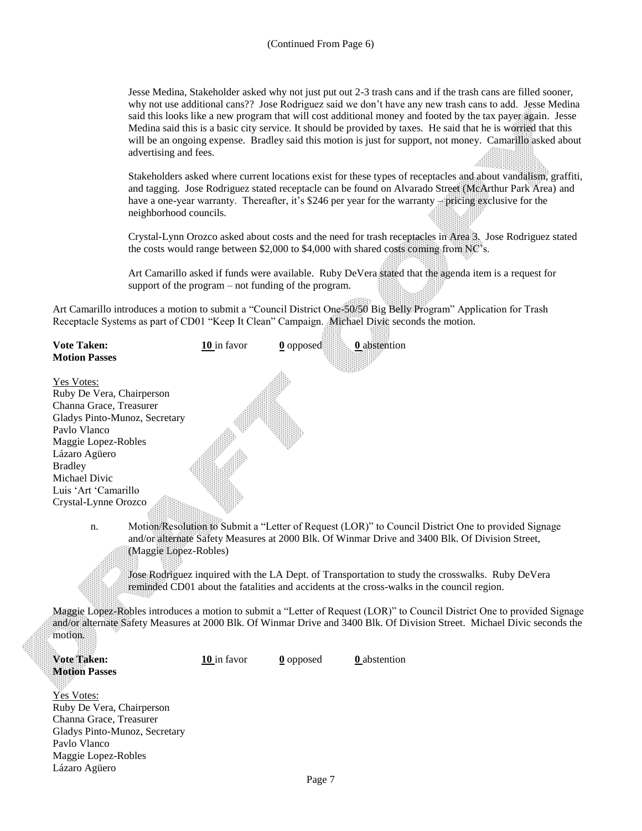Jesse Medina, Stakeholder asked why not just put out 2-3 trash cans and if the trash cans are filled sooner, why not use additional cans?? Jose Rodriguez said we don't have any new trash cans to add. Jesse Medina said this looks like a new program that will cost additional money and footed by the tax payer again. Jesse Medina said this is a basic city service. It should be provided by taxes. He said that he is worried that this will be an ongoing expense. Bradley said this motion is just for support, not money. Camarillo asked about advertising and fees.

Stakeholders asked where current locations exist for these types of receptacles and about vandalism, graffiti, and tagging. Jose Rodriguez stated receptacle can be found on Alvarado Street (McArthur Park Area) and have a one-year warranty. Thereafter, it's \$246 per year for the warranty – pricing exclusive for the neighborhood councils.

Crystal-Lynn Orozco asked about costs and the need for trash receptacles in Area 3. Jose Rodriguez stated the costs would range between \$2,000 to \$4,000 with shared costs coming from  $NC$ 's.

Art Camarillo asked if funds were available. Ruby DeVera stated that the agenda item is a request for support of the program – not funding of the program.

Art Camarillo introduces a motion to submit a "Council District One-50/50 Big Belly Program" Application for Trash Receptacle Systems as part of CD01 "Keep It Clean" Campaign. Michael Divic seconds the motion.

| <b>Vote Taken:</b>            | 10 in favor                                                                                                                                                                                                                     | $\underline{0}$ opposed | 0 abstention |  |
|-------------------------------|---------------------------------------------------------------------------------------------------------------------------------------------------------------------------------------------------------------------------------|-------------------------|--------------|--|
| <b>Motion Passes</b>          |                                                                                                                                                                                                                                 |                         |              |  |
| Yes Votes:                    |                                                                                                                                                                                                                                 |                         |              |  |
| Ruby De Vera, Chairperson     |                                                                                                                                                                                                                                 |                         |              |  |
| Channa Grace, Treasurer       |                                                                                                                                                                                                                                 |                         |              |  |
| Gladys Pinto-Munoz, Secretary |                                                                                                                                                                                                                                 |                         |              |  |
| Pavlo Vlanco                  |                                                                                                                                                                                                                                 |                         |              |  |
| Maggie Lopez-Robles           |                                                                                                                                                                                                                                 |                         |              |  |
| Lázaro Agüero                 |                                                                                                                                                                                                                                 |                         |              |  |
| <b>Bradley</b>                |                                                                                                                                                                                                                                 |                         |              |  |
| Michael Divic                 |                                                                                                                                                                                                                                 |                         |              |  |
| Luis 'Art 'Camarillo          |                                                                                                                                                                                                                                 |                         |              |  |
| Crystal-Lynne Orozco          |                                                                                                                                                                                                                                 |                         |              |  |
| n.                            | Motion/Resolution to Submit a "Letter of Request (LOR)" to Council District One to provided Signage<br>and/or alternate Safety Measures at 2000 Blk. Of Winmar Drive and 3400 Blk. Of Division Street,<br>(Maggie Lopez-Robles) |                         |              |  |

Jose Rodriguez inquired with the LA Dept. of Transportation to study the crosswalks. Ruby DeVera reminded CD01 about the fatalities and accidents at the cross-walks in the council region.

Maggie Lopez-Robles introduces a motion to submit a "Letter of Request (LOR)" to Council District One to provided Signage and/or alternate Safety Measures at 2000 Blk. Of Winmar Drive and 3400 Blk. Of Division Street. Michael Divic seconds the motion.

**Vote Taken: 10** in favor **0** opposed **0** abstention **Motion Passes**

Yes Votes: Ruby De Vera, Chairperson Channa Grace, Treasurer Gladys Pinto-Munoz, Secretary Pavlo Vlanco Maggie Lopez-Robles Lázaro Agüero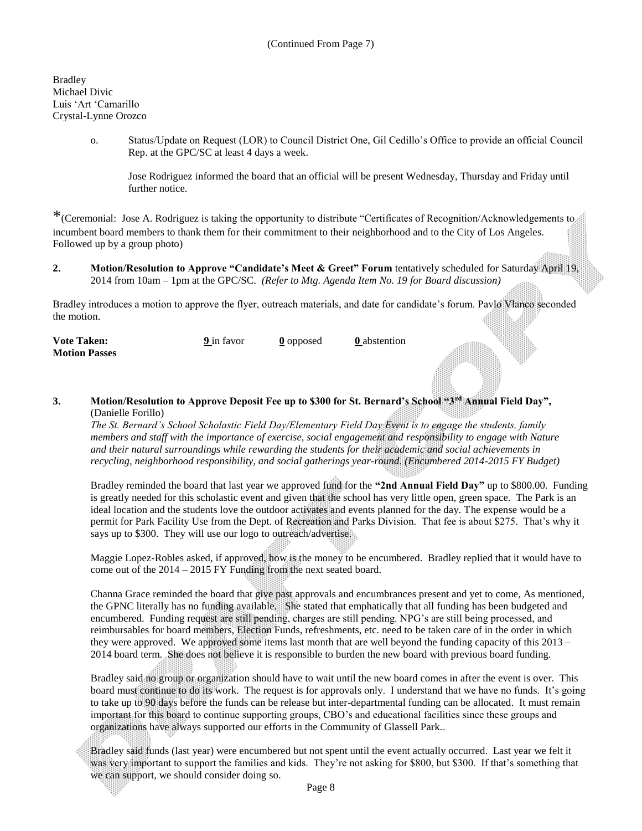Bradley Michael Divic Luis 'Art 'Camarillo Crystal-Lynne Orozco

88

o. Status/Update on Request (LOR) to Council District One, Gil Cedillo's Office to provide an official Council Rep. at the GPC/SC at least 4 days a week.

Jose Rodriguez informed the board that an official will be present Wednesday, Thursday and Friday until further notice.

\*(Ceremonial: Jose A. Rodriguez is taking the opportunity to distribute "Certificates of Recognition/Acknowledgements to incumbent board members to thank them for their commitment to their neighborhood and to the City of Los Angeles. Followed up by a group photo)

**2. Motion/Resolution to Approve "Candidate's Meet & Greet" Forum tentatively scheduled for Saturday April 19,** 2014 from 10am – 1pm at the GPC/SC. *(Refer to Mtg. Agenda Item No. 19 for Board discussion)*

Bradley introduces a motion to approve the flyer, outreach materials, and date for candidate's forum. Pavlo Vlanco seconded the motion.

| <b>Vote Taken:</b>   | 9 in favor | 0 opposed | <b>0</b> abstention |
|----------------------|------------|-----------|---------------------|
| <b>Motion Passes</b> |            |           |                     |

**3. Motion/Resolution to Approve Deposit Fee up to \$300 for St. Bernard's School "3rd Annual Field Day",** (Danielle Forillo)

*The St. Bernard's School Scholastic Field Day/Elementary Field Day Event is to engage the students, family members and staff with the importance of exercise, social engagement and responsibility to engage with Nature and their natural surroundings while rewarding the students for their academic and social achievements in recycling, neighborhood responsibility, and social gatherings year-round. (Encumbered 2014-2015 FY Budget)*

Bradley reminded the board that last year we approved fund for the **"2nd Annual Field Day"** up to \$800.00. Funding is greatly needed for this scholastic event and given that the school has very little open, green space. The Park is an ideal location and the students love the outdoor activates and events planned for the day. The expense would be a permit for Park Facility Use from the Dept. of Recreation and Parks Division. That fee is about \$275. That's why it says up to \$300. They will use our logo to outreach/advertise.

Maggie Lopez-Robles asked, if approved, how is the money to be encumbered. Bradley replied that it would have to come out of the 2014 – 2015 FY Funding from the next seated board.

Channa Grace reminded the board that give past approvals and encumbrances present and yet to come, As mentioned, the GPNC literally has no funding available. She stated that emphatically that all funding has been budgeted and encumbered. Funding request are still pending, charges are still pending. NPG's are still being processed, and reimbursables for board members, Election Funds, refreshments, etc. need to be taken care of in the order in which they were approved. We approved some items last month that are well beyond the funding capacity of this 2013 – 2014 board term. She does not believe it is responsible to burden the new board with previous board funding.

Bradley said no group or organization should have to wait until the new board comes in after the event is over. This board must continue to do its work. The request is for approvals only. I understand that we have no funds. It's going to take up to 90 days before the funds can be release but inter-departmental funding can be allocated. It must remain important for this board to continue supporting groups, CBO's and educational facilities since these groups and organizations have always supported our efforts in the Community of Glassell Park..

Bradley said funds (last year) were encumbered but not spent until the event actually occurred. Last year we felt it was very important to support the families and kids. They're not asking for \$800, but \$300. If that's something that we can support, we should consider doing so.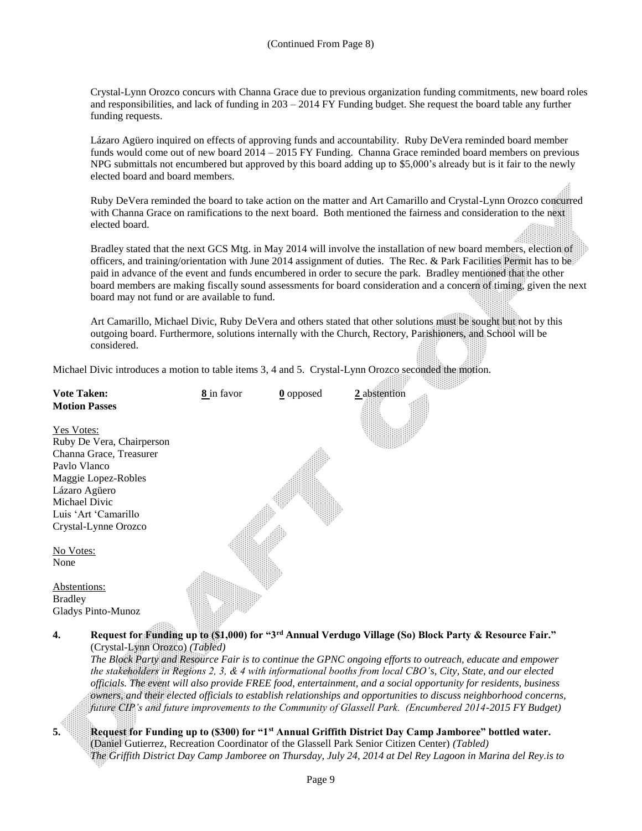Crystal-Lynn Orozco concurs with Channa Grace due to previous organization funding commitments, new board roles and responsibilities, and lack of funding in 203 – 2014 FY Funding budget. She request the board table any further funding requests.

Lázaro Agüero inquired on effects of approving funds and accountability. Ruby DeVera reminded board member funds would come out of new board 2014 – 2015 FY Funding. Channa Grace reminded board members on previous NPG submittals not encumbered but approved by this board adding up to \$5,000's already but is it fair to the newly elected board and board members.

Ruby DeVera reminded the board to take action on the matter and Art Camarillo and Crystal-Lynn Orozco concurred with Channa Grace on ramifications to the next board. Both mentioned the fairness and consideration to the next elected board.

Bradley stated that the next GCS Mtg. in May 2014 will involve the installation of new board members, election of officers, and training/orientation with June 2014 assignment of duties. The Rec. & Park Facilities Permit has to be paid in advance of the event and funds encumbered in order to secure the park. Bradley mentioned that the other board members are making fiscally sound assessments for board consideration and a concern of timing, given the next board may not fund or are available to fund.

Art Camarillo, Michael Divic, Ruby DeVera and others stated that other solutions must be sought but not by this outgoing board. Furthermore, solutions internally with the Church, Rectory, Parishioners, and School will be considered.

Michael Divic introduces a motion to table items 3, 4 and 5. Crystal-Lynn Orozco seconded the motion.

| <b>Vote Taken:</b>                                                             | 8 in favor | $\underline{0}$ opposed | 2 abstention |
|--------------------------------------------------------------------------------|------------|-------------------------|--------------|
| <b>Motion Passes</b>                                                           |            |                         |              |
| <u>Yes Votes:</u>                                                              |            |                         |              |
| Ruby De Vera, Chairperson                                                      |            |                         |              |
| Channa Grace, Treasurer                                                        |            |                         |              |
| Pavlo Vlanco                                                                   |            |                         |              |
| Maggie Lopez-Robles                                                            |            |                         |              |
| Lázaro Agüero                                                                  |            |                         |              |
| Michael Divic                                                                  |            |                         |              |
| Luis 'Art 'Camarillo                                                           |            |                         |              |
| Crystal-Lynne Orozco                                                           |            |                         |              |
|                                                                                |            |                         |              |
| No Votes:                                                                      |            |                         |              |
| None                                                                           |            |                         |              |
|                                                                                |            |                         |              |
| Abstentions:                                                                   |            |                         |              |
| <b>Bradley</b>                                                                 |            |                         |              |
| <b>Gladys Pinto-Munoz</b>                                                      |            |                         |              |
|                                                                                |            |                         |              |
| Request for Funding up to (\$1,000) for "3rd Annual Verdugo Village (So)<br>4. |            |                         |              |

(Crystal-Lynn Orozco) *(Tabled) The Block Party and Resource Fair is to continue the GPNC ongoing efforts to outreach, educate and empower the stakeholders in Regions 2, 3, & 4 with informational booths from local CBO's, City, State, and our elected officials. The event will also provide FREE food, entertainment, and a social opportunity for residents, business owners, and their elected officials to establish relationships and opportunities to discuss neighborhood concerns, future CIP's and future improvements to the Community of Glassell Park. (Encumbered 2014-2015 FY Budget)*

**Block Party & Resource Fair."** 



**5. Request for Funding up to (\$300) for "1st Annual Griffith District Day Camp Jamboree" bottled water.** (Daniel Gutierrez, Recreation Coordinator of the Glassell Park Senior Citizen Center) *(Tabled) The Griffith District Day Camp Jamboree on Thursday, July 24, 2014 at Del Rey Lagoon in Marina del Rey.is to*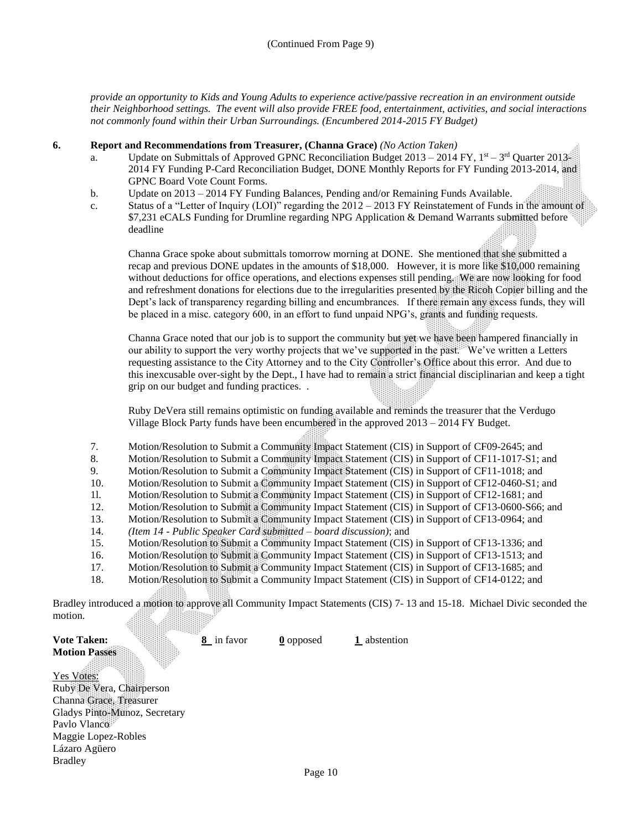*provide an opportunity to Kids and Young Adults to experience active/passive recreation in an environment outside their Neighborhood settings. The event will also provide FREE food, entertainment, activities, and social interactions not commonly found within their Urban Surroundings. (Encumbered 2014-2015 FY Budget)*

#### **6. Report and Recommendations from Treasurer, (Channa Grace)** *(No Action Taken)*

- a. Update on Submittals of Approved GPNC Reconciliation Budget  $2013 2014$  FY,  $1<sup>st</sup> 3<sup>rd</sup>$  Quarter  $2013<sup>st</sup>$ 2014 FY Funding P-Card Reconciliation Budget, DONE Monthly Reports for FY Funding 2013-2014, and GPNC Board Vote Count Forms.
- b. Update on 2013 2014 FY Funding Balances, Pending and/or Remaining Funds Available.
- c. Status of a "Letter of Inquiry (LOI)" regarding the 2012 2013 FY Reinstatement of Funds in the amount of \$7,231 eCALS Funding for Drumline regarding NPG Application & Demand Warrants submitted before deadline

Channa Grace spoke about submittals tomorrow morning at DONE. She mentioned that she submitted a recap and previous DONE updates in the amounts of \$18,000. However, it is more like \$10,000 remaining without deductions for office operations, and elections expenses still pending. We are now looking for food and refreshment donations for elections due to the irregularities presented by the Ricoh Copier billing and the Dept's lack of transparency regarding billing and encumbrances. If there remain any excess funds, they will be placed in a misc. category 600, in an effort to fund unpaid NPG's, grants and funding requests.

Channa Grace noted that our job is to support the community but yet we have been hampered financially in our ability to support the very worthy projects that we've supported in the past. We've written a Letters requesting assistance to the City Attorney and to the City Controller's Office about this error. And due to this inexcusable over-sight by the Dept., I have had to remain a strict financial disciplinarian and keep a tight grip on our budget and funding practices. .

Ruby DeVera still remains optimistic on funding available and reminds the treasurer that the Verdugo Village Block Party funds have been encumbered in the approved 2013 – 2014 FY Budget.

- 7. Motion/Resolution to Submit a Community Impact Statement (CIS) in Support of CF09-2645; and
- 8. Motion/Resolution to Submit a Community Impact Statement (CIS) in Support of CF11-1017-S1; and
- 9. Motion/Resolution to Submit a Community Impact Statement (CIS) in Support of CF11-1018; and
- 10. Motion/Resolution to Submit a Community Impact Statement (CIS) in Support of CF12-0460-S1; and
- 1l. Motion/Resolution to Submit a Community Impact Statement (CIS) in Support of CF12-1681; and
- 12. Motion/Resolution to Submit a Community Impact Statement (CIS) in Support of CF13-0600-S66; and
- 13. Motion/Resolution to Submit a Community Impact Statement (CIS) in Support of CF13-0964; and
- 14. *(Item 14 - Public Speaker Card submitted – board discussion)*; and
- 15. Motion/Resolution to Submit a Community Impact Statement (CIS) in Support of CF13-1336; and
- 16. Motion/Resolution to Submit a Community Impact Statement (CIS) in Support of CF13-1513; and
- 17. Motion/Resolution to Submit a Community Impact Statement (CIS) in Support of CF13-1685; and
- 18. Motion/Resolution to Submit a Community Impact Statement (CIS) in Support of CF14-0122; and

Bradley introduced a motion to approve all Community Impact Statements (CIS) 7- 13 and 15-18. Michael Divic seconded the motion.

#### **Vote Taken: 8** in favor **0** opposed **1** abstention **Motion Passes**

Yes Votes:

Ruby De Vera, Chairperson Channa Grace, Treasurer Gladys Pinto-Munoz, Secretary Pavlo Vlanco Maggie Lopez-Robles Lázaro Agüero Bradley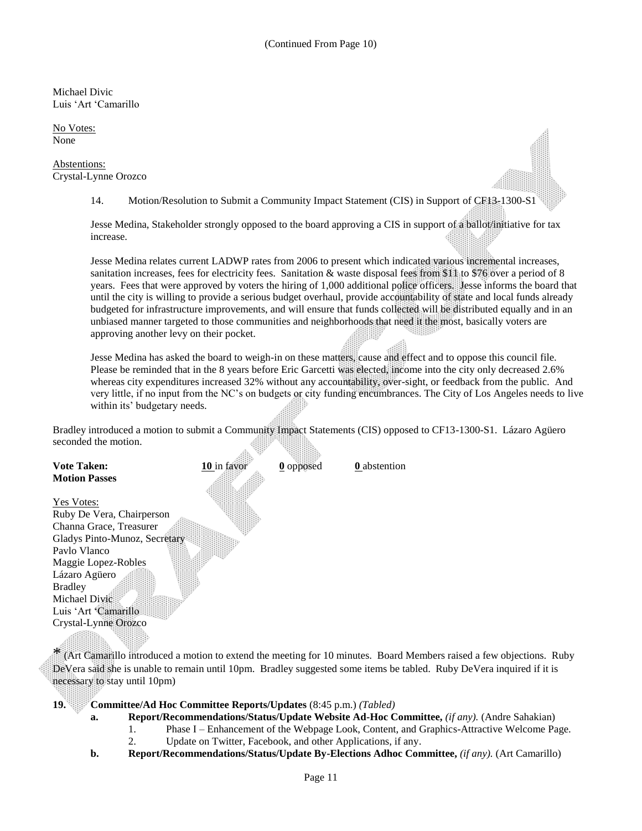Michael Divic Luis 'Art 'Camarillo

No Votes: None

Abstentions: Crystal-Lynne Orozco

14. Motion/Resolution to Submit a Community Impact Statement (CIS) in Support of CF13-1300-S1

Jesse Medina, Stakeholder strongly opposed to the board approving a CIS in support of a ballot/initiative for tax increase.

Jesse Medina relates current LADWP rates from 2006 to present which indicated various incremental increases, sanitation increases, fees for electricity fees. Sanitation & waste disposal fees from \$11 to \$76 over a period of 8 years. Fees that were approved by voters the hiring of 1,000 additional police officers. Jesse informs the board that until the city is willing to provide a serious budget overhaul, provide accountability of state and local funds already budgeted for infrastructure improvements, and will ensure that funds collected will be distributed equally and in an unbiased manner targeted to those communities and neighborhoods that need it the most, basically voters are approving another levy on their pocket.

Jesse Medina has asked the board to weigh-in on these matters, cause and effect and to oppose this council file. Please be reminded that in the 8 years before Eric Garcetti was elected, income into the city only decreased 2.6% whereas city expenditures increased 32% without any accountability, over-sight, or feedback from the public. And very little, if no input from the NC's on budgets or city funding encumbrances. The City of Los Angeles needs to live within its' budgetary needs.

Bradley introduced a motion to submit a Community Impact Statements (CIS) opposed to CF13-1300-S1. Lázaro Agüero seconded the motion. 

| <b>Vote Taken:</b>            | 10 in favor | $0$ opposed | <b>0</b> abstention |
|-------------------------------|-------------|-------------|---------------------|
| <b>Motion Passes</b>          |             |             |                     |
|                               |             |             |                     |
| <b>Yes Votes:</b>             |             |             |                     |
| Ruby De Vera, Chairperson     |             |             |                     |
| Channa Grace, Treasurer       |             |             |                     |
| Gladys Pinto-Munoz, Secretary |             |             |                     |
| Pavlo Vlanco                  |             |             |                     |
| Maggie Lopez-Robles           |             |             |                     |
| Lázaro Agüero                 |             |             |                     |
| <b>Bradley</b>                |             |             |                     |
| Michael Divic                 |             |             |                     |
| Luis 'Art 'Camarillo          |             |             |                     |
| Crystal-Lynne Orozco          |             |             |                     |
|                               |             |             |                     |

\* (Art Camarillo introduced a motion to extend the meeting for 10 minutes. Board Members raised a few objections. Ruby DeVera said she is unable to remain until 10pm. Bradley suggested some items be tabled. Ruby DeVera inquired if it is necessary to stay until 10pm)

**19. Committee/Ad Hoc Committee Reports/Updates** (8:45 p.m.) *(Tabled)*

- **a. Report/Recommendations/Status/Update Website Ad-Hoc Committee,** *(if any).* (Andre Sahakian)
	- 1. Phase I Enhancement of the Webpage Look, Content, and Graphics-Attractive Welcome Page.
	- 2. Update on Twitter, Facebook, and other Applications, if any.
- **b. Report/Recommendations/Status/Update By-Elections Adhoc Committee,** *(if any).* (Art Camarillo)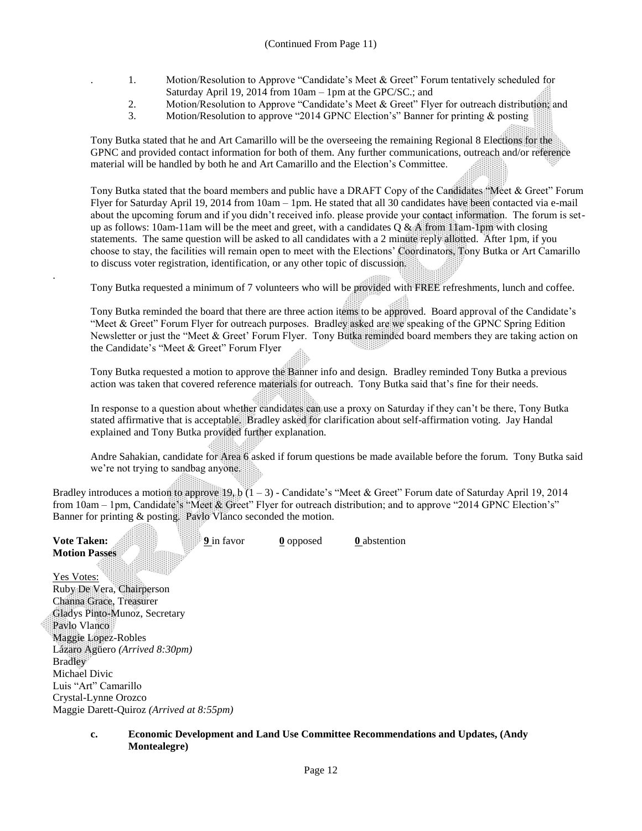- . 1. Motion/Resolution to Approve "Candidate's Meet & Greet" Forum tentatively scheduled for Saturday April 19, 2014 from 10am – 1pm at the GPC/SC.; and
- 2. Motion/Resolution to Approve "Candidate's Meet & Greet" Flyer for outreach distribution; and<br>3. Motion/Resolution to approve "2014 GPNC Election's" Banner for printing & posting
- Motion/Resolution to approve "2014 GPNC Election's" Banner for printing & posting

Tony Butka stated that he and Art Camarillo will be the overseeing the remaining Regional 8 Elections for the GPNC and provided contact information for both of them. Any further communications, outreach and/or reference material will be handled by both he and Art Camarillo and the Election's Committee.

Tony Butka stated that the board members and public have a DRAFT Copy of the Candidates "Meet & Greet" Forum Flyer for Saturday April 19, 2014 from 10am – 1pm. He stated that all 30 candidates have been contacted via e-mail about the upcoming forum and if you didn't received info. please provide your contact information. The forum is setup as follows: 10am-11am will be the meet and greet, with a candidates Q & A from 11am-1pm with closing statements. The same question will be asked to all candidates with a 2 minute reply allotted. After 1pm, if you choose to stay, the facilities will remain open to meet with the Elections' Coordinators, Tony Butka or Art Camarillo to discuss voter registration, identification, or any other topic of discussion.

Tony Butka requested a minimum of 7 volunteers who will be provided with FREE refreshments, lunch and coffee.

Tony Butka reminded the board that there are three action items to be approved. Board approval of the Candidate's "Meet & Greet" Forum Flyer for outreach purposes. Bradley asked are we speaking of the GPNC Spring Edition Newsletter or just the "Meet & Greet' Forum Flyer. Tony Butka reminded board members they are taking action on the Candidate's "Meet & Greet" Forum Flyer

Tony Butka requested a motion to approve the Banner info and design. Bradley reminded Tony Butka a previous action was taken that covered reference materials for outreach. Tony Butka said that's fine for their needs.

In response to a question about whether candidates can use a proxy on Saturday if they can't be there, Tony Butka stated affirmative that is acceptable. Bradley asked for clarification about self-affirmation voting. Jay Handal explained and Tony Butka provided further explanation.

Andre Sahakian, candidate for Area 6 asked if forum questions be made available before the forum. Tony Butka said we're not trying to sandbag anyone.

Bradley introduces a motion to approve  $19<sub>x</sub> b$  (1 – 3) - Candidate's "Meet & Greet" Forum date of Saturday April 19, 2014 from 10am – 1pm, Candidate's "Meet & Greet" Flyer for outreach distribution; and to approve "2014 GPNC Election's" Banner for printing & posting. Pavlo Vlanco seconded the motion. **SANDER** 

| <b>Vote Taken:</b>                       | 9 in favor | 0 opposed | <b>0</b> abstention |
|------------------------------------------|------------|-----------|---------------------|
| <b>Motion Passes</b>                     |            |           |                     |
| Yes Votes:                               |            |           |                     |
| Ruby De Vera, Chairperson                |            |           |                     |
| Channa Grace, Treasurer                  |            |           |                     |
| Gladys Pinto-Munoz, Secretary            |            |           |                     |
| Pavlo Vlanco                             |            |           |                     |
| Maggie Lopez-Robles                      |            |           |                     |
| Lázaro Agüero (Arrived 8:30pm)           |            |           |                     |
| <b>Bradley</b>                           |            |           |                     |
| Michael Divic                            |            |           |                     |
| Luis "Art" Camarillo                     |            |           |                     |
| Crystal-Lynne Orozco                     |            |           |                     |
| Maggie Darett-Ouiroz (Arrived at 8:55pm) |            |           |                     |

.

#### **c. Economic Development and Land Use Committee Recommendations and Updates, (Andy Montealegre)**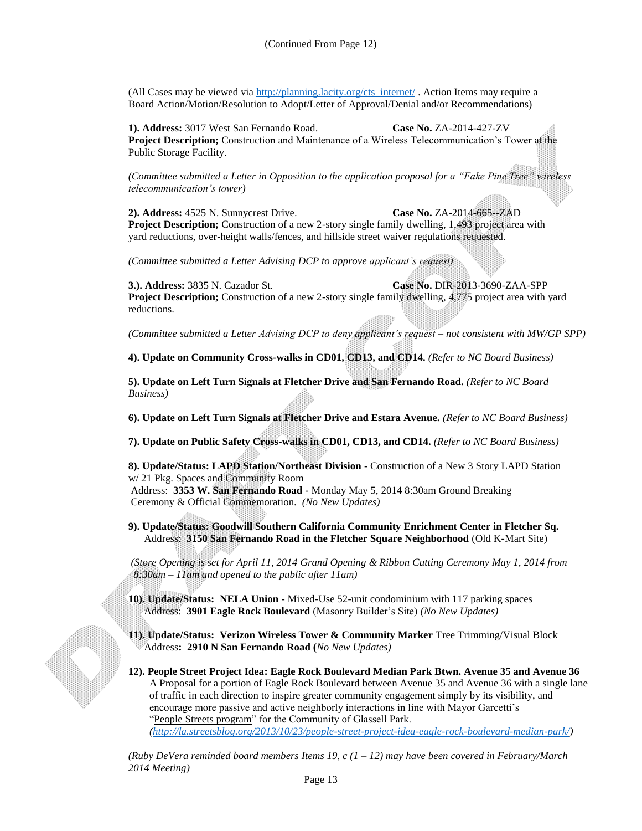(All Cases may be viewed via [http://planning.lacity.org/cts\\_internet/](http://planning.lacity.org/cts_internet/) . Action Items may require a Board Action/Motion/Resolution to Adopt/Letter of Approval/Denial and/or Recommendations)

**1). Address:** 3017 West San Fernando Road. **Case No.** ZA-2014-427-ZV **Project Description;** Construction and Maintenance of a Wireless Telecommunication's Tower at the Public Storage Facility.

*(Committee submitted a Letter in Opposition to the application proposal for a "Fake Pine Tree" wireless telecommunication's tower)* 

**2). Address:** 4525 N. Sunnycrest Drive. **Case No.** ZA-2014-665--ZAD **Project Description;** Construction of a new 2-story single family dwelling, 1,493 project area with yard reductions, over-height walls/fences, and hillside street waiver regulations requested.

*(Committee submitted a Letter Advising DCP to approve applicant's request)* 

**3.). Address:** 3835 N. Cazador St. **Case No.** DIR-2013-3690-ZAA-SPP **Project Description;** Construction of a new 2-story single family dwelling, 4,775 project area with yard reductions.

*(Committee submitted a Letter Advising DCP to deny applicant's request – not consistent with MW/GP SPP)* 

**4). Update on Community Cross-walks in CD01, CD13, and CD14.** *(Refer to NC Board Business)*

**5). Update on Left Turn Signals at Fletcher Drive and San Fernando Road.** *(Refer to NC Board Business)*

**6). Update on Left Turn Signals at Fletcher Drive and Estara Avenue.** *(Refer to NC Board Business)*

**7). Update on Public Safety Cross-walks in CD01, CD13, and CD14.** *(Refer to NC Board Business)*

**8). Update/Status: LAPD Station/Northeast Division -** Construction of a New 3 Story LAPD Station w/ 21 Pkg. Spaces and Community Room

Address: **3353 W. San Fernando Road -** Monday May 5, 2014 8:30am Ground Breaking Ceremony & Official Commemoration. *(No New Updates)*

**9). Update/Status: Goodwill Southern California Community Enrichment Center in Fletcher Sq.** Address: **3150 San Fernando Road in the Fletcher Square Neighborhood** (Old K-Mart Site)

*(Store Opening is set for April 11, 2014 Grand Opening & Ribbon Cutting Ceremony May 1, 2014 from 8:30am – 11am and opened to the public after 11am)*

**10). Update/Status: NELA Union -** Mixed-Use 52-unit condominium with 117 parking spaces Address: **3901 Eagle Rock Boulevard** (Masonry Builder's Site) *(No New Updates)*

**11). Update/Status: Verizon Wireless Tower & Community Marker** Tree Trimming/Visual Block Address**: 2910 N San Fernando Road (***No New Updates)*

**12). People Street Project Idea: Eagle Rock Boulevard Median Park Btwn. Avenue 35 and Avenue 36** A Proposal for a portion of Eagle Rock Boulevard between Avenue 35 and Avenue 36 with a single lane of traffic in each direction to inspire greater community engagement simply by its visibility, and encourage more passive and active neighborly interactions in line with Mayor Garcetti's ["People Streets program"](http://la.streetsblog.org/2013/10/14/people-st-garcett-and-ladot-declare-streets-are-for-people-offer-help-re-purposing-wasted-asphalt/) for the Community of Glassell Park.

*[\(http://la.streetsblog.org/2013/10/23/people-street-project-idea-eagle-rock-boulevard-median-park/\)](http://la.streetsblog.org/2013/10/23/people-street-project-idea-eagle-rock-boulevard-median-park/)*

*(Ruby DeVera reminded board members Items 19, c (1 – 12) may have been covered in February/March 2014 Meeting)*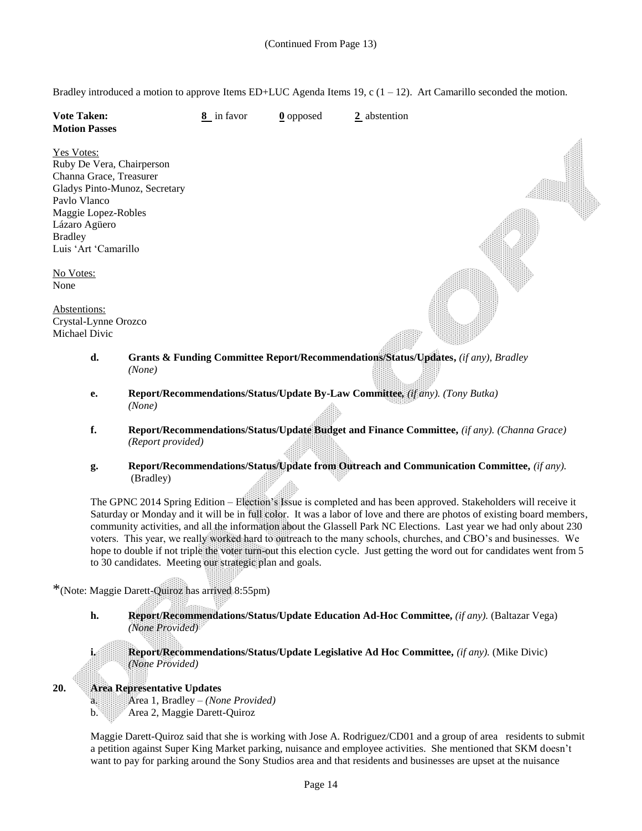Bradley introduced a motion to approve Items ED+LUC Agenda Items 19, c  $(1 - 12)$ . Art Camarillo seconded the motion.

| <b>Vote Taken:</b><br><b>Motion Passes</b>                                                                                 |                   | 8 in favor | $\underline{0}$ opposed | $2$ abstention                                                                              |
|----------------------------------------------------------------------------------------------------------------------------|-------------------|------------|-------------------------|---------------------------------------------------------------------------------------------|
| <b>Yes Votes:</b><br>Ruby De Vera, Chairperson<br>Channa Grace, Treasurer<br>Gladys Pinto-Munoz, Secretary<br>Paylo Vlanco |                   |            |                         |                                                                                             |
| Maggie Lopez-Robles<br>Lázaro Agüero                                                                                       |                   |            |                         |                                                                                             |
| <b>Bradley</b><br>Luis 'Art 'Camarillo                                                                                     |                   |            |                         |                                                                                             |
| No Votes:<br>None                                                                                                          |                   |            |                         |                                                                                             |
| Abstentions:<br>Crystal-Lynne Orozco<br>Michael Divic                                                                      |                   |            |                         |                                                                                             |
| d.                                                                                                                         | (None)            |            |                         | Grants & Funding Committee Report/Recommendations/Status/Updates, (if any), Bradley         |
| e.                                                                                                                         | (None)            |            |                         | Report/Recommendations/Status/Update By-Law Committee, (if any). (Tony Butka)               |
| f.                                                                                                                         | (Report provided) |            |                         | Report/Recommendations/Status/Update Budget and Finance Committee, (if any). (Channa Grace) |
| $\mathbf{g}$ .                                                                                                             |                   |            |                         | Report/Recommendations/Status/Update from Outreach and Communication Committee, (if any).   |

 **g. Report/Recommendations/Status/Update from Outreach and Communication Committee,** *(if any).* (Bradley)

The GPNC 2014 Spring Edition – Election's Issue is completed and has been approved. Stakeholders will receive it Saturday or Monday and it will be in full color. It was a labor of love and there are photos of existing board members, community activities, and all the information about the Glassell Park NC Elections. Last year we had only about 230 voters. This year, we really worked hard to outreach to the many schools, churches, and CBO's and businesses. We hope to double if not triple the voter turn-out this election cycle. Just getting the word out for candidates went from 5 to 30 candidates. Meeting our strategic plan and goals.

\*(Note: Maggie Darett-Quiroz has arrived 8:55pm)

**h. Report/Recommendations/Status/Update Education Ad-Hoc Committee,** *(if any).* (Baltazar Vega) *(None Provided)*

**i. Report/Recommendations/Status/Update Legislative Ad Hoc Committee,** *(if any).* (Mike Divic) *(None Provided)*

### **20. Area Representative Updates**

a. Area 1, Bradley – *(None Provided)* b. Area 2, Maggie Darett-Quiroz

Maggie Darett-Quiroz said that she is working with Jose A. Rodriguez/CD01 and a group of area residents to submit a petition against Super King Market parking, nuisance and employee activities. She mentioned that SKM doesn't want to pay for parking around the Sony Studios area and that residents and businesses are upset at the nuisance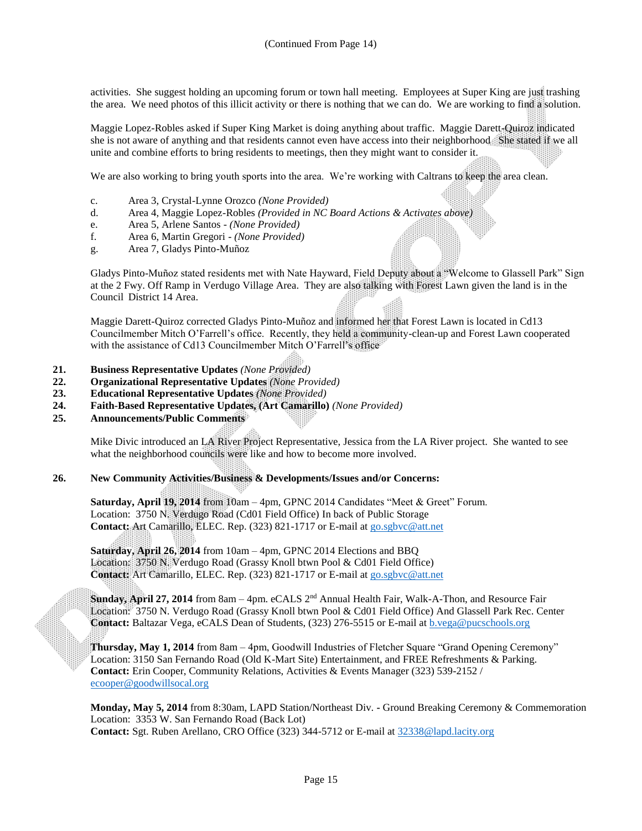activities. She suggest holding an upcoming forum or town hall meeting. Employees at Super King are just trashing the area. We need photos of this illicit activity or there is nothing that we can do. We are working to find a solution.

Maggie Lopez-Robles asked if Super King Market is doing anything about traffic. Maggie Darett-Quiroz indicated she is not aware of anything and that residents cannot even have access into their neighborhood She stated if we all unite and combine efforts to bring residents to meetings, then they might want to consider it.

We are also working to bring youth sports into the area. We're working with Caltrans to keep the area clean.

- c. Area 3, Crystal-Lynne Orozco *(None Provided)*
- d. Area 4, Maggie Lopez-Robles *(Provided in NC Board Actions & Activates above)*
- e. Area 5, Arlene Santos *(None Provided)*
- f. Area 6, Martin Gregori *(None Provided)*
- g. Area 7, Gladys Pinto-Muñoz

Gladys Pinto-Muñoz stated residents met with Nate Hayward, Field Deputy about a "Welcome to Glassell Park" Sign at the 2 Fwy. Off Ramp in Verdugo Village Area. They are also talking with Forest Lawn given the land is in the Council District 14 Area.

Maggie Darett-Quiroz corrected Gladys Pinto-Muñoz and informed her that Forest Lawn is located in Cd13 Councilmember Mitch O'Farrell's office. Recently, they held a community-clean-up and Forest Lawn cooperated with the assistance of Cd13 Councilmember Mitch O'Farrell's office

- **21. Business Representative Updates** *(None Provided)*
- **22. Organizational Representative Updates** *(None Provided)*
- **23. Educational Representative Updates** *(None Provided)*
- **24. Faith-Based Representative Updates, (Art Camarillo)** *(None Provided)*
- **25. Announcements/Public Comments**

Mike Divic introduced an LA River Project Representative, Jessica from the LA River project. She wanted to see what the neighborhood councils were like and how to become more involved.

#### **26. New Community Activities/Business & Developments/Issues and/or Concerns:**

**Saturday, April 19, 2014** from 10am – 4pm, GPNC 2014 Candidates "Meet & Greet" Forum. Location: 3750 N. Verdugo Road (Cd01 Field Office) In back of Public Storage **Contact:** Art Camarillo, ELEC. Rep. (323) 821-1717 or E-mail at [go.sgbvc@att.net](mailto:go.sgbvc@att.net)

**Saturday, April 26, 2014** from 10am – 4pm, GPNC 2014 Elections and BBQ Location: 3750 N. Verdugo Road (Grassy Knoll btwn Pool & Cd01 Field Office) **Contact:** Art Camarillo, ELEC. Rep. (323) 821-1717 or E-mail at [go.sgbvc@att.net](mailto:go.sgbvc@att.net)

**Sunday, April 27, 2014** from 8am – 4pm. eCALS 2nd Annual Health Fair, Walk-A-Thon, and Resource Fair Location: 3750 N. Verdugo Road (Grassy Knoll btwn Pool & Cd01 Field Office) And Glassell Park Rec. Center **Contact:** Baltazar Vega, eCALS Dean of Students, (323) 276-5515 or E-mail a[t b.vega@pucschools.org](mailto:b.vega@pucschools.org)

**Thursday, May 1, 2014** from 8am – 4pm, Goodwill Industries of Fletcher Square "Grand Opening Ceremony" Location: 3150 San Fernando Road (Old K-Mart Site) Entertainment, and FREE Refreshments & Parking. **Contact:** Erin Cooper, Community Relations, Activities & Events Manager (323) 539-2152 / [ecooper@goodwillsocal.org](mailto:ecooper@goodwillsocal.org)

**Monday, May 5, 2014** from 8:30am, LAPD Station/Northeast Div. **-** Ground Breaking Ceremony & Commemoration Location: 3353 W. San Fernando Road (Back Lot) **Contact:** Sgt. Ruben Arellano, CRO Office (323) 344-5712 or E-mail at [32338@lapd.lacity.org](mailto:32338@lapd.lacity.org)